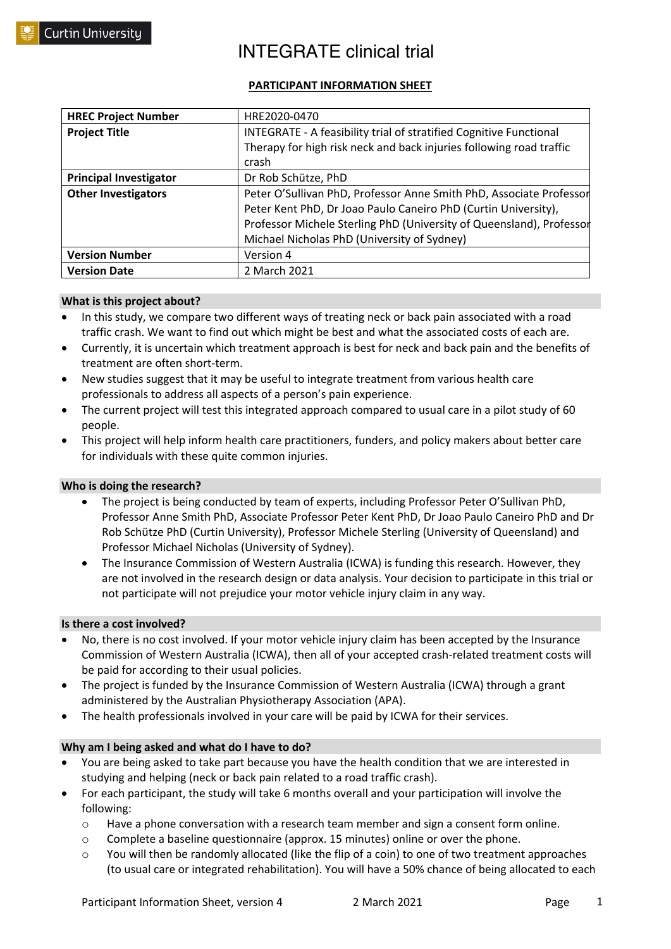### **PARTICIPANT INFORMATION SHEET**

| <b>HREC Project Number</b>    | HRE2020-0470                                                         |
|-------------------------------|----------------------------------------------------------------------|
| <b>Project Title</b>          | INTEGRATE - A feasibility trial of stratified Cognitive Functional   |
|                               | Therapy for high risk neck and back injuries following road traffic  |
|                               | crash                                                                |
| <b>Principal Investigator</b> | Dr Rob Schütze, PhD                                                  |
| <b>Other Investigators</b>    | Peter O'Sullivan PhD, Professor Anne Smith PhD, Associate Professor  |
|                               | Peter Kent PhD, Dr Joao Paulo Caneiro PhD (Curtin University),       |
|                               | Professor Michele Sterling PhD (University of Queensland), Professor |
|                               | Michael Nicholas PhD (University of Sydney)                          |
| <b>Version Number</b>         | Version 4                                                            |
| <b>Version Date</b>           | 2 March 2021                                                         |

#### **What is this project about?**

- In this study, we compare two different ways of treating neck or back pain associated with a road traffic crash. We want to find out which might be best and what the associated costs of each are.
- Currently, it is uncertain which treatment approach is best for neck and back pain and the benefits of treatment are often short-term.
- New studies suggest that it may be useful to integrate treatment from various health care professionals to address all aspects of a person's pain experience.
- The current project will test this integrated approach compared to usual care in a pilot study of 60 people.
- This project will help inform health care practitioners, funders, and policy makers about better care for individuals with these quite common injuries.

### **Who is doing the research?**

- The project is being conducted by team of experts, including Professor Peter O'Sullivan PhD, Professor Anne Smith PhD, Associate Professor Peter Kent PhD, Dr Joao Paulo Caneiro PhD and Dr Rob Schütze PhD (Curtin University), Professor Michele Sterling (University of Queensland) and Professor Michael Nicholas (University of Sydney).
- The Insurance Commission of Western Australia (ICWA) is funding this research. However, they are not involved in the research design or data analysis. Your decision to participate in this trial or not participate will not prejudice your motor vehicle injury claim in any way.

#### **Is there a cost involved?**

- No, there is no cost involved. If your motor vehicle injury claim has been accepted by the Insurance Commission of Western Australia (ICWA), then all of your accepted crash-related treatment costs will be paid for according to their usual policies.
- The project is funded by the Insurance Commission of Western Australia (ICWA) through a grant administered by the Australian Physiotherapy Association (APA).
- The health professionals involved in your care will be paid by ICWA for their services.

### **Why am I being asked and what do I have to do?**

- You are being asked to take part because you have the health condition that we are interested in studying and helping (neck or back pain related to a road traffic crash).
- For each participant, the study will take 6 months overall and your participation will involve the following:
	- $\circ$  Have a phone conversation with a research team member and sign a consent form online.
	- o Complete a baseline questionnaire (approx. 15 minutes) online or over the phone.
	- $\circ$  You will then be randomly allocated (like the flip of a coin) to one of two treatment approaches (to usual care or integrated rehabilitation). You will have a 50% chance of being allocated to each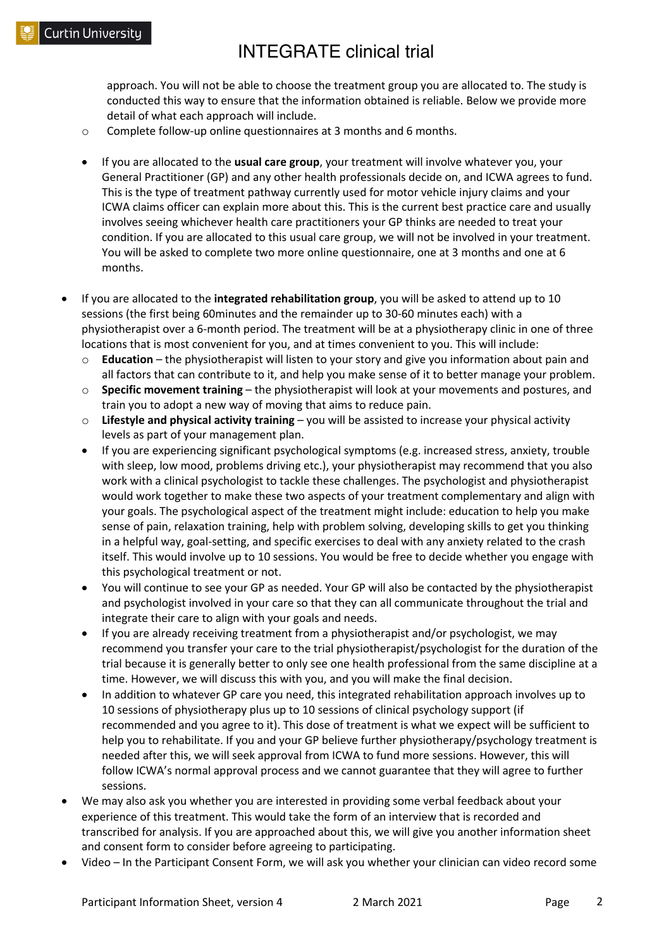approach. You will not be able to choose the treatment group you are allocated to. The study is conducted this way to ensure that the information obtained is reliable. Below we provide more detail of what each approach will include.

- o Complete follow-up online questionnaires at 3 months and 6 months.
- If you are allocated to the **usual care group**, your treatment will involve whatever you, your General Practitioner (GP) and any other health professionals decide on, and ICWA agrees to fund. This is the type of treatment pathway currently used for motor vehicle injury claims and your ICWA claims officer can explain more about this. This is the current best practice care and usually involves seeing whichever health care practitioners your GP thinks are needed to treat your condition. If you are allocated to this usual care group, we will not be involved in your treatment. You will be asked to complete two more online questionnaire, one at 3 months and one at 6 months.
- If you are allocated to the **integrated rehabilitation group**, you will be asked to attend up to 10 sessions (the first being 60minutes and the remainder up to 30-60 minutes each) with a physiotherapist over a 6-month period. The treatment will be at a physiotherapy clinic in one of three locations that is most convenient for you, and at times convenient to you. This will include:
	- **Education** the physiotherapist will listen to your story and give you information about pain and all factors that can contribute to it, and help you make sense of it to better manage your problem.
	- o **Specific movement training** the physiotherapist will look at your movements and postures, and train you to adopt a new way of moving that aims to reduce pain.
	- o **Lifestyle and physical activity training** you will be assisted to increase your physical activity levels as part of your management plan.
	- If you are experiencing significant psychological symptoms (e.g. increased stress, anxiety, trouble with sleep, low mood, problems driving etc.), your physiotherapist may recommend that you also work with a clinical psychologist to tackle these challenges. The psychologist and physiotherapist would work together to make these two aspects of your treatment complementary and align with your goals. The psychological aspect of the treatment might include: education to help you make sense of pain, relaxation training, help with problem solving, developing skills to get you thinking in a helpful way, goal-setting, and specific exercises to deal with any anxiety related to the crash itself. This would involve up to 10 sessions. You would be free to decide whether you engage with this psychological treatment or not.
	- You will continue to see your GP as needed. Your GP will also be contacted by the physiotherapist and psychologist involved in your care so that they can all communicate throughout the trial and integrate their care to align with your goals and needs.
	- If you are already receiving treatment from a physiotherapist and/or psychologist, we may recommend you transfer your care to the trial physiotherapist/psychologist for the duration of the trial because it is generally better to only see one health professional from the same discipline at a time. However, we will discuss this with you, and you will make the final decision.
	- In addition to whatever GP care you need, this integrated rehabilitation approach involves up to 10 sessions of physiotherapy plus up to 10 sessions of clinical psychology support (if recommended and you agree to it). This dose of treatment is what we expect will be sufficient to help you to rehabilitate. If you and your GP believe further physiotherapy/psychology treatment is needed after this, we will seek approval from ICWA to fund more sessions. However, this will follow ICWA's normal approval process and we cannot guarantee that they will agree to further sessions.
- We may also ask you whether you are interested in providing some verbal feedback about your experience of this treatment. This would take the form of an interview that is recorded and transcribed for analysis. If you are approached about this, we will give you another information sheet and consent form to consider before agreeing to participating.
- Video In the Participant Consent Form, we will ask you whether your clinician can video record some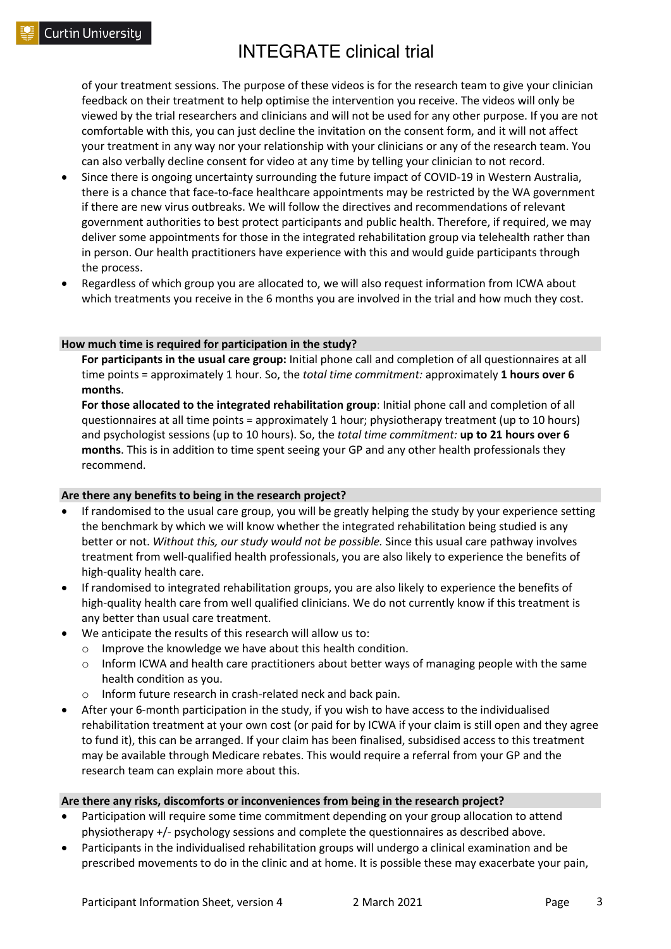of your treatment sessions. The purpose of these videos is for the research team to give your clinician feedback on their treatment to help optimise the intervention you receive. The videos will only be viewed by the trial researchers and clinicians and will not be used for any other purpose. If you are not comfortable with this, you can just decline the invitation on the consent form, and it will not affect your treatment in any way nor your relationship with your clinicians or any of the research team. You can also verbally decline consent for video at any time by telling your clinician to not record.

- Since there is ongoing uncertainty surrounding the future impact of COVID-19 in Western Australia, there is a chance that face-to-face healthcare appointments may be restricted by the WA government if there are new virus outbreaks. We will follow the directives and recommendations of relevant government authorities to best protect participants and public health. Therefore, if required, we may deliver some appointments for those in the integrated rehabilitation group via telehealth rather than in person. Our health practitioners have experience with this and would guide participants through the process.
- Regardless of which group you are allocated to, we will also request information from ICWA about which treatments you receive in the 6 months you are involved in the trial and how much they cost.

#### **How much time is required for participation in the study?**

**For participants in the usual care group:** Initial phone call and completion of all questionnaires at all time points = approximately 1 hour. So, the *total time commitment:* approximately **1 hours over 6 months**.

**For those allocated to the integrated rehabilitation group**: Initial phone call and completion of all questionnaires at all time points = approximately 1 hour; physiotherapy treatment (up to 10 hours) and psychologist sessions (up to 10 hours). So, the *total time commitment:* **up to 21 hours over 6 months**. This is in addition to time spent seeing your GP and any other health professionals they recommend.

#### **Are there any benefits to being in the research project?**

- If randomised to the usual care group, you will be greatly helping the study by your experience setting the benchmark by which we will know whether the integrated rehabilitation being studied is any better or not. *Without this, our study would not be possible.* Since this usual care pathway involves treatment from well-qualified health professionals, you are also likely to experience the benefits of high-quality health care.
- If randomised to integrated rehabilitation groups, you are also likely to experience the benefits of high-quality health care from well qualified clinicians. We do not currently know if this treatment is any better than usual care treatment.
- We anticipate the results of this research will allow us to:
	- o Improve the knowledge we have about this health condition.
	- $\circ$  Inform ICWA and health care practitioners about better ways of managing people with the same health condition as you.
	- o Inform future research in crash-related neck and back pain.
- After your 6-month participation in the study, if you wish to have access to the individualised rehabilitation treatment at your own cost (or paid for by ICWA if your claim is still open and they agree to fund it), this can be arranged. If your claim has been finalised, subsidised access to this treatment may be available through Medicare rebates. This would require a referral from your GP and the research team can explain more about this.

#### **Are there any risks, discomforts or inconveniences from being in the research project?**

- Participation will require some time commitment depending on your group allocation to attend physiotherapy +/- psychology sessions and complete the questionnaires as described above.
- Participants in the individualised rehabilitation groups will undergo a clinical examination and be prescribed movements to do in the clinic and at home. It is possible these may exacerbate your pain,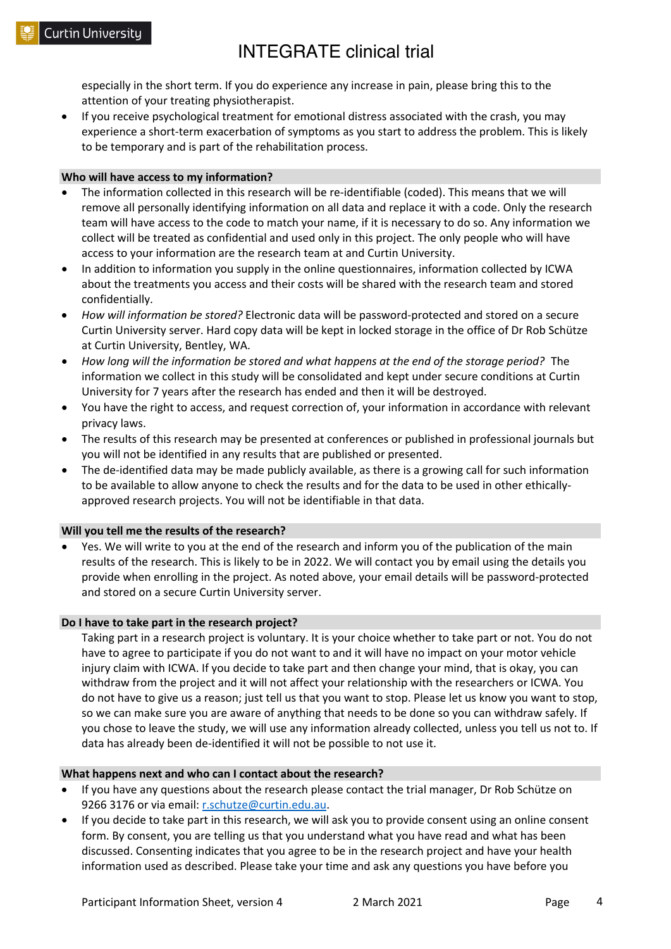especially in the short term. If you do experience any increase in pain, please bring this to the attention of your treating physiotherapist.

• If you receive psychological treatment for emotional distress associated with the crash, you may experience a short-term exacerbation of symptoms as you start to address the problem. This is likely to be temporary and is part of the rehabilitation process.

#### **Who will have access to my information?**

- The information collected in this research will be re-identifiable (coded). This means that we will remove all personally identifying information on all data and replace it with a code. Only the research team will have access to the code to match your name, if it is necessary to do so. Any information we collect will be treated as confidential and used only in this project. The only people who will have access to your information are the research team at and Curtin University.
- In addition to information you supply in the online questionnaires, information collected by ICWA about the treatments you access and their costs will be shared with the research team and stored confidentially.
- *How will information be stored?* Electronic data will be password-protected and stored on a secure Curtin University server. Hard copy data will be kept in locked storage in the office of Dr Rob Schütze at Curtin University, Bentley, WA.
- *How long will the information be stored and what happens at the end of the storage period?* The information we collect in this study will be consolidated and kept under secure conditions at Curtin University for 7 years after the research has ended and then it will be destroyed.
- You have the right to access, and request correction of, your information in accordance with relevant privacy laws.
- The results of this research may be presented at conferences or published in professional journals but you will not be identified in any results that are published or presented.
- The de-identified data may be made publicly available, as there is a growing call for such information to be available to allow anyone to check the results and for the data to be used in other ethicallyapproved research projects. You will not be identifiable in that data.

#### **Will you tell me the results of the research?**

• Yes. We will write to you at the end of the research and inform you of the publication of the main results of the research. This is likely to be in 2022. We will contact you by email using the details you provide when enrolling in the project. As noted above, your email details will be password-protected and stored on a secure Curtin University server.

#### **Do I have to take part in the research project?**

Taking part in a research project is voluntary. It is your choice whether to take part or not. You do not have to agree to participate if you do not want to and it will have no impact on your motor vehicle injury claim with ICWA. If you decide to take part and then change your mind, that is okay, you can withdraw from the project and it will not affect your relationship with the researchers or ICWA. You do not have to give us a reason; just tell us that you want to stop. Please let us know you want to stop, so we can make sure you are aware of anything that needs to be done so you can withdraw safely. If you chose to leave the study, we will use any information already collected, unless you tell us not to. If data has already been de-identified it will not be possible to not use it.

#### **What happens next and who can I contact about the research?**

- If you have any questions about the research please contact the trial manager, Dr Rob Schütze on 9266 3176 or via email: r.schutze@curtin.edu.au.
- If you decide to take part in this research, we will ask you to provide consent using an online consent form. By consent, you are telling us that you understand what you have read and what has been discussed. Consenting indicates that you agree to be in the research project and have your health information used as described. Please take your time and ask any questions you have before you